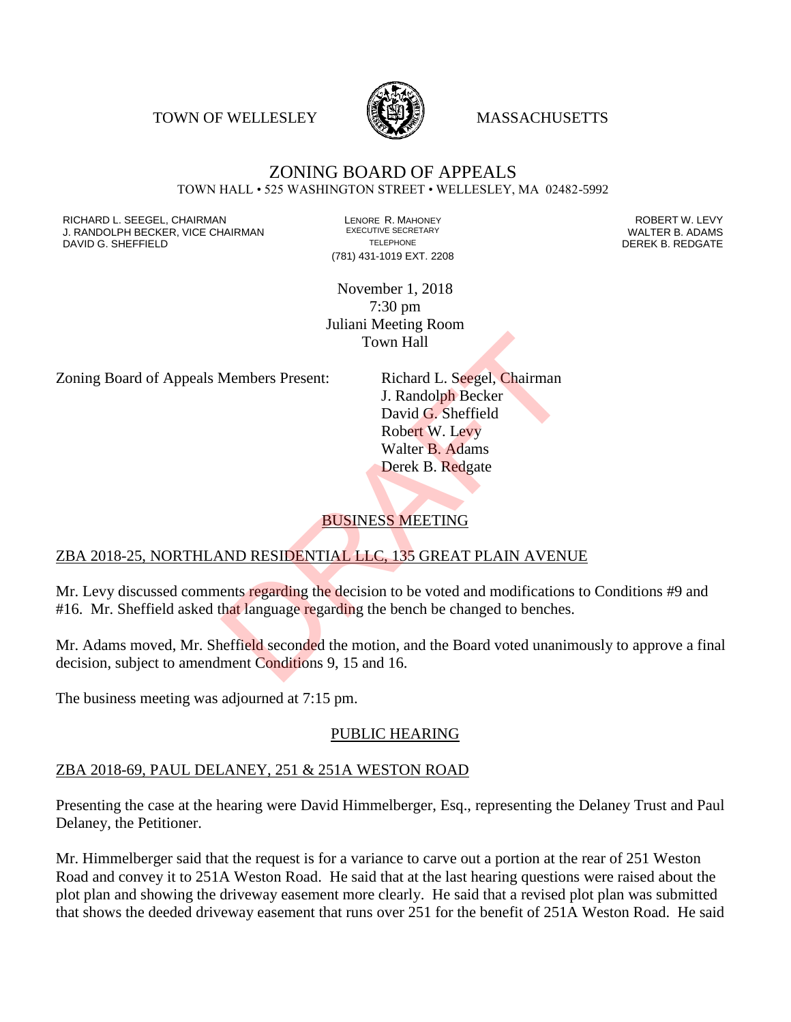TOWN OF WELLESLEY **WASSACHUSETTS** 



#### ZONING BOARD OF APPEALS TOWN HALL • 525 WASHINGTON STREET • WELLESLEY, MA 02482-5992

RICHARD L. SEEGEL, CHAIRMAN LENORE R. MAHONEY ROBERT W. LEVY J. RANDOLPH BECKER, VICE CHAIRMAN EXECUTIVE SECRETARY OF TELEPHONE DAVID G. SHEFFIELD **TELEPHONE** TELEPHONE TELEPHONE **TELEPHONE DEREK B. REDGATE** 

(781) 431-1019 EXT. 2208

November 1, 2018 7:30 pm Juliani Meeting Room Town Hall

Zoning Board of Appeals Members Present: Richard L. Seegel, Chairman

J. Randolph Becker David G. Sheffield Robert W. Levy Walter B. Adams Derek B. Redgate Town Hall<br>
Members Present: Richard L. Seegel, Chairman<br>
J. Randolph Becker<br>
David G. Sheffield<br>
Robert W. Levy<br>
Walter B. Adams<br>
Derek B. Redgate<br>
BUSINESS MEETING<br>
ND RESIDENTIAL LLC. 135 GREAT PLAIN AVENU<br>
ents regardin

#### BUSINESS MEETING

#### ZBA 2018-25, NORTHLAND RESIDENTIAL LLC, 135 GREAT PLAIN AVENUE

Mr. Levy discussed comments regarding the decision to be voted and modifications to Conditions #9 and #16. Mr. Sheffield asked that language regarding the bench be changed to benches.

Mr. Adams moved, Mr. Sheffield seconded the motion, and the Board voted unanimously to approve a final decision, subject to amendment Conditions 9, 15 and 16.

The business meeting was adjourned at 7:15 pm.

#### PUBLIC HEARING

#### ZBA 2018-69, PAUL DELANEY, 251 & 251A WESTON ROAD

Presenting the case at the hearing were David Himmelberger, Esq., representing the Delaney Trust and Paul Delaney, the Petitioner.

Mr. Himmelberger said that the request is for a variance to carve out a portion at the rear of 251 Weston Road and convey it to 251A Weston Road. He said that at the last hearing questions were raised about the plot plan and showing the driveway easement more clearly. He said that a revised plot plan was submitted that shows the deeded driveway easement that runs over 251 for the benefit of 251A Weston Road. He said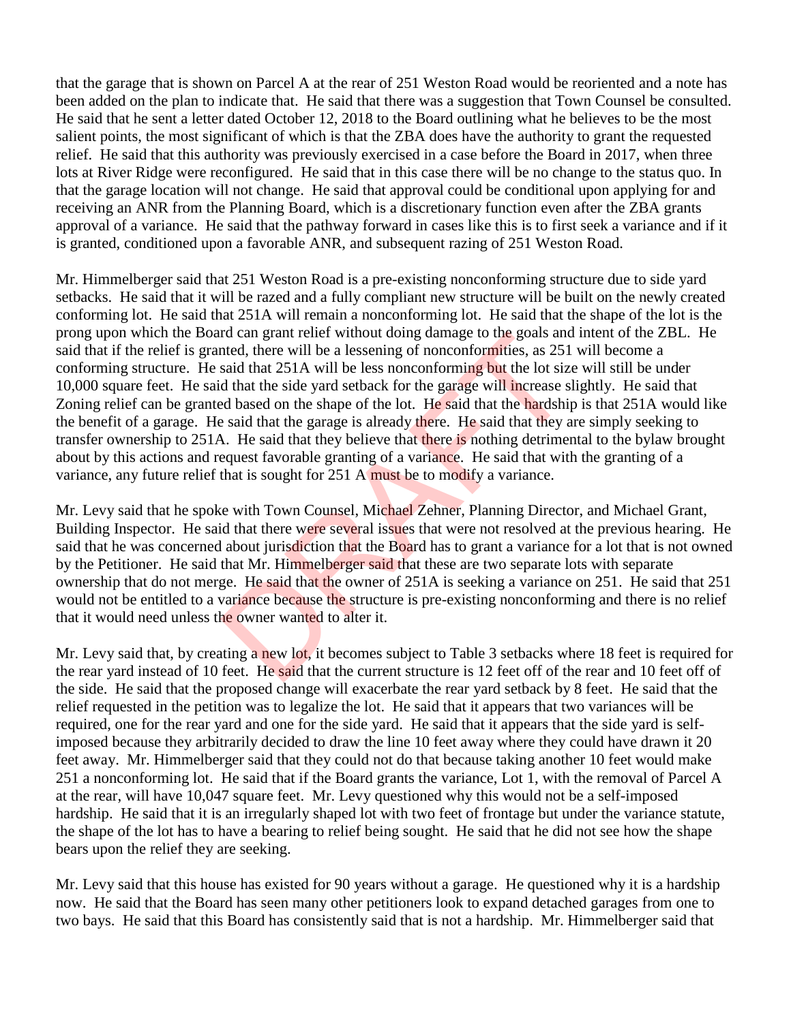that the garage that is shown on Parcel A at the rear of 251 Weston Road would be reoriented and a note has been added on the plan to indicate that. He said that there was a suggestion that Town Counsel be consulted. He said that he sent a letter dated October 12, 2018 to the Board outlining what he believes to be the most salient points, the most significant of which is that the ZBA does have the authority to grant the requested relief. He said that this authority was previously exercised in a case before the Board in 2017, when three lots at River Ridge were reconfigured. He said that in this case there will be no change to the status quo. In that the garage location will not change. He said that approval could be conditional upon applying for and receiving an ANR from the Planning Board, which is a discretionary function even after the ZBA grants approval of a variance. He said that the pathway forward in cases like this is to first seek a variance and if it is granted, conditioned upon a favorable ANR, and subsequent razing of 251 Weston Road.

Mr. Himmelberger said that 251 Weston Road is a pre-existing nonconforming structure due to side yard setbacks. He said that it will be razed and a fully compliant new structure will be built on the newly created conforming lot. He said that 251A will remain a nonconforming lot. He said that the shape of the lot is the prong upon which the Board can grant relief without doing damage to the goals and intent of the ZBL. He said that if the relief is granted, there will be a lessening of nonconformities, as 251 will become a conforming structure. He said that 251A will be less nonconforming but the lot size will still be under 10,000 square feet. He said that the side yard setback for the garage will increase slightly. He said that Zoning relief can be granted based on the shape of the lot. He said that the hardship is that 251A would like the benefit of a garage. He said that the garage is already there. He said that they are simply seeking to transfer ownership to 251A. He said that they believe that there is nothing detrimental to the bylaw brought about by this actions and request favorable granting of a variance. He said that with the granting of a variance, any future relief that is sought for 251 A must be to modify a variance. rd can grant relief without doing damage to the goals and<br>thed, there will be a lessening of nonconformities, as 251<br>said that 251A will be less nonconforming but the lot size<br>d that the side yard setback for the garage wi

Mr. Levy said that he spoke with Town Counsel, Michael Zehner, Planning Director, and Michael Grant, Building Inspector. He said that there were several issues that were not resolved at the previous hearing. He said that he was concerned about jurisdiction that the Board has to grant a variance for a lot that is not owned by the Petitioner. He said that Mr. Himmelberger said that these are two separate lots with separate ownership that do not merge. He said that the owner of 251A is seeking a variance on 251. He said that 251 would not be entitled to a variance because the structure is pre-existing nonconforming and there is no relief that it would need unless the owner wanted to alter it.

Mr. Levy said that, by creating a new lot, it becomes subject to Table 3 setbacks where 18 feet is required for the rear yard instead of 10 feet. He said that the current structure is 12 feet off of the rear and 10 feet off of the side. He said that the proposed change will exacerbate the rear yard setback by 8 feet. He said that the relief requested in the petition was to legalize the lot. He said that it appears that two variances will be required, one for the rear yard and one for the side yard. He said that it appears that the side yard is selfimposed because they arbitrarily decided to draw the line 10 feet away where they could have drawn it 20 feet away. Mr. Himmelberger said that they could not do that because taking another 10 feet would make 251 a nonconforming lot. He said that if the Board grants the variance, Lot 1, with the removal of Parcel A at the rear, will have 10,047 square feet. Mr. Levy questioned why this would not be a self-imposed hardship. He said that it is an irregularly shaped lot with two feet of frontage but under the variance statute, the shape of the lot has to have a bearing to relief being sought. He said that he did not see how the shape bears upon the relief they are seeking.

Mr. Levy said that this house has existed for 90 years without a garage. He questioned why it is a hardship now. He said that the Board has seen many other petitioners look to expand detached garages from one to two bays. He said that this Board has consistently said that is not a hardship. Mr. Himmelberger said that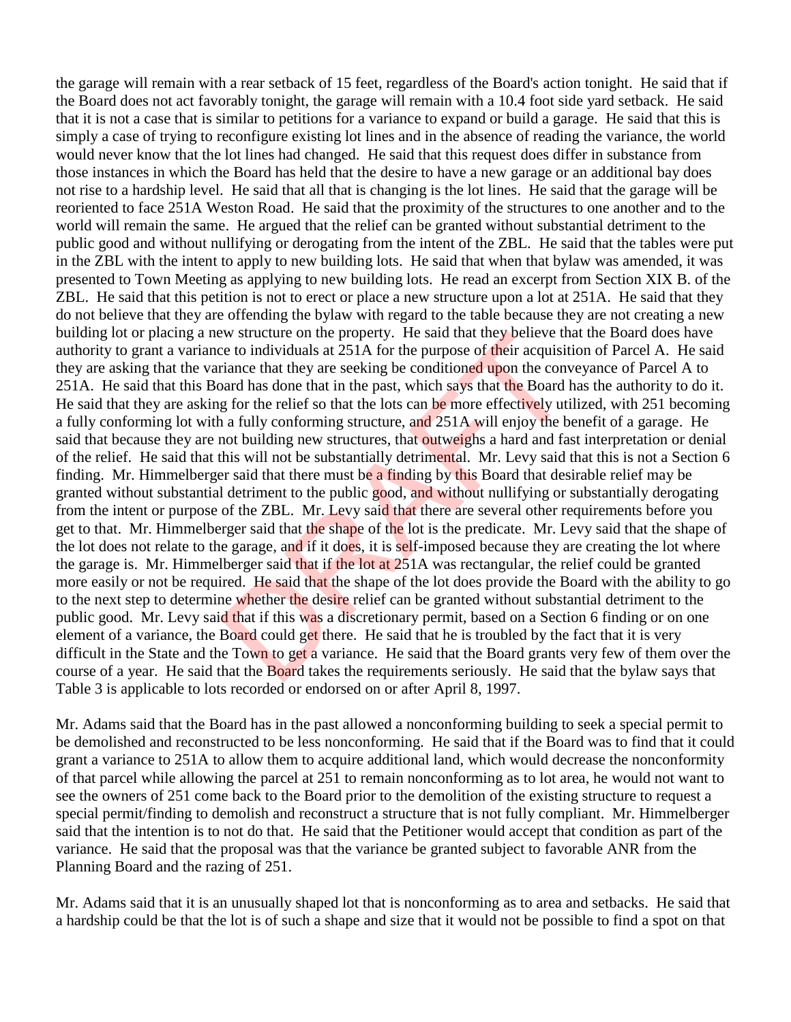the garage will remain with a rear setback of 15 feet, regardless of the Board's action tonight. He said that if the Board does not act favorably tonight, the garage will remain with a 10.4 foot side yard setback. He said that it is not a case that is similar to petitions for a variance to expand or build a garage. He said that this is simply a case of trying to reconfigure existing lot lines and in the absence of reading the variance, the world would never know that the lot lines had changed. He said that this request does differ in substance from those instances in which the Board has held that the desire to have a new garage or an additional bay does not rise to a hardship level. He said that all that is changing is the lot lines. He said that the garage will be reoriented to face 251A Weston Road. He said that the proximity of the structures to one another and to the world will remain the same. He argued that the relief can be granted without substantial detriment to the public good and without nullifying or derogating from the intent of the ZBL. He said that the tables were put in the ZBL with the intent to apply to new building lots. He said that when that bylaw was amended, it was presented to Town Meeting as applying to new building lots. He read an excerpt from Section XIX B. of the ZBL. He said that this petition is not to erect or place a new structure upon a lot at 251A. He said that they do not believe that they are offending the bylaw with regard to the table because they are not creating a new building lot or placing a new structure on the property. He said that they believe that the Board does have authority to grant a variance to individuals at 251A for the purpose of their acquisition of Parcel A. He said they are asking that the variance that they are seeking be conditioned upon the conveyance of Parcel A to 251A. He said that this Board has done that in the past, which says that the Board has the authority to do it. He said that they are asking for the relief so that the lots can be more effectively utilized, with 251 becoming a fully conforming lot with a fully conforming structure, and 251A will enjoy the benefit of a garage. He said that because they are not building new structures, that outweighs a hard and fast interpretation or denial of the relief. He said that this will not be substantially detrimental. Mr. Levy said that this is not a Section 6 finding. Mr. Himmelberger said that there must be a finding by this Board that desirable relief may be granted without substantial detriment to the public good, and without nullifying or substantially derogating from the intent or purpose of the ZBL. Mr. Levy said that there are several other requirements before you get to that. Mr. Himmelberger said that the shape of the lot is the predicate. Mr. Levy said that the shape of the lot does not relate to the garage, and if it does, it is self-imposed because they are creating the lot where the garage is. Mr. Himmelberger said that if the lot at 251A was rectangular, the relief could be granted more easily or not be required. He said that the shape of the lot does provide the Board with the ability to go to the next step to determine whether the desire relief can be granted without substantial detriment to the public good. Mr. Levy said that if this was a discretionary permit, based on a Section 6 finding or on one element of a variance, the Board could get there. He said that he is troubled by the fact that it is very difficult in the State and the Town to get a variance. He said that the Board grants very few of them over the course of a year. He said that the **Board** takes the requirements seriously. He said that the bylaw says that Table 3 is applicable to lots recorded or endorsed on or after April 8, 1997. East that they are structure on the property. He said that they believe the to individuals at 251A for the purpose of their acquisit riance that they are seeking be conditioned upon the convard has done that in the past,

Mr. Adams said that the Board has in the past allowed a nonconforming building to seek a special permit to be demolished and reconstructed to be less nonconforming. He said that if the Board was to find that it could grant a variance to 251A to allow them to acquire additional land, which would decrease the nonconformity of that parcel while allowing the parcel at 251 to remain nonconforming as to lot area, he would not want to see the owners of 251 come back to the Board prior to the demolition of the existing structure to request a special permit/finding to demolish and reconstruct a structure that is not fully compliant. Mr. Himmelberger said that the intention is to not do that. He said that the Petitioner would accept that condition as part of the variance. He said that the proposal was that the variance be granted subject to favorable ANR from the Planning Board and the razing of 251.

Mr. Adams said that it is an unusually shaped lot that is nonconforming as to area and setbacks. He said that a hardship could be that the lot is of such a shape and size that it would not be possible to find a spot on that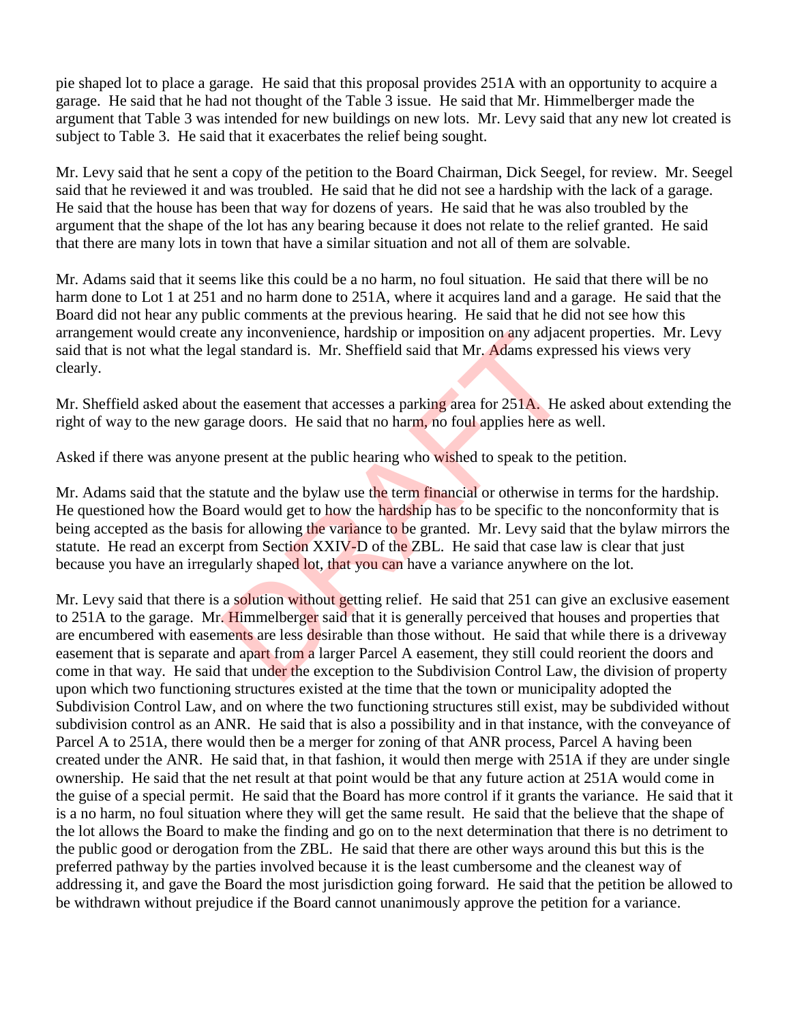pie shaped lot to place a garage. He said that this proposal provides 251A with an opportunity to acquire a garage. He said that he had not thought of the Table 3 issue. He said that Mr. Himmelberger made the argument that Table 3 was intended for new buildings on new lots. Mr. Levy said that any new lot created is subject to Table 3. He said that it exacerbates the relief being sought.

Mr. Levy said that he sent a copy of the petition to the Board Chairman, Dick Seegel, for review. Mr. Seegel said that he reviewed it and was troubled. He said that he did not see a hardship with the lack of a garage. He said that the house has been that way for dozens of years. He said that he was also troubled by the argument that the shape of the lot has any bearing because it does not relate to the relief granted. He said that there are many lots in town that have a similar situation and not all of them are solvable.

Mr. Adams said that it seems like this could be a no harm, no foul situation. He said that there will be no harm done to Lot 1 at 251 and no harm done to 251A, where it acquires land and a garage. He said that the Board did not hear any public comments at the previous hearing. He said that he did not see how this arrangement would create any inconvenience, hardship or imposition on any adjacent properties. Mr. Levy said that is not what the legal standard is. Mr. Sheffield said that Mr. Adams expressed his views very clearly.

Mr. Sheffield asked about the easement that accesses a parking area for 251A. He asked about extending the right of way to the new garage doors. He said that no harm, no foul applies here as well.

Asked if there was anyone present at the public hearing who wished to speak to the petition.

Mr. Adams said that the statute and the bylaw use the term financial or otherwise in terms for the hardship. He questioned how the Board would get to how the hardship has to be specific to the nonconformity that is being accepted as the basis for allowing the variance to be granted. Mr. Levy said that the bylaw mirrors the statute. He read an excerpt from Section XXIV-D of the ZBL. He said that case law is clear that just because you have an irregularly shaped lot, that you can have a variance anywhere on the lot.

Mr. Levy said that there is a solution without getting relief. He said that 251 can give an exclusive easement to 251A to the garage. Mr. Himmelberger said that it is generally perceived that houses and properties that are encumbered with easements are less desirable than those without. He said that while there is a driveway easement that is separate and apart from a larger Parcel A easement, they still could reorient the doors and come in that way. He said that under the exception to the Subdivision Control Law, the division of property upon which two functioning structures existed at the time that the town or municipality adopted the Subdivision Control Law, and on where the two functioning structures still exist, may be subdivided without subdivision control as an ANR. He said that is also a possibility and in that instance, with the conveyance of Parcel A to 251A, there would then be a merger for zoning of that ANR process, Parcel A having been created under the ANR. He said that, in that fashion, it would then merge with 251A if they are under single ownership. He said that the net result at that point would be that any future action at 251A would come in the guise of a special permit. He said that the Board has more control if it grants the variance. He said that it is a no harm, no foul situation where they will get the same result. He said that the believe that the shape of the lot allows the Board to make the finding and go on to the next determination that there is no detriment to the public good or derogation from the ZBL. He said that there are other ways around this but this is the preferred pathway by the parties involved because it is the least cumbersome and the cleanest way of addressing it, and gave the Board the most jurisdiction going forward. He said that the petition be allowed to be withdrawn without prejudice if the Board cannot unanimously approve the petition for a variance. any inconvenience, naraship or imposition on any adjace<br>gal standard is. Mr. Sheffield said that Mr. Adams expre-<br>the easement that accesses a parking area for 251A. He and<br>easement that accesses a parking area for 251A. H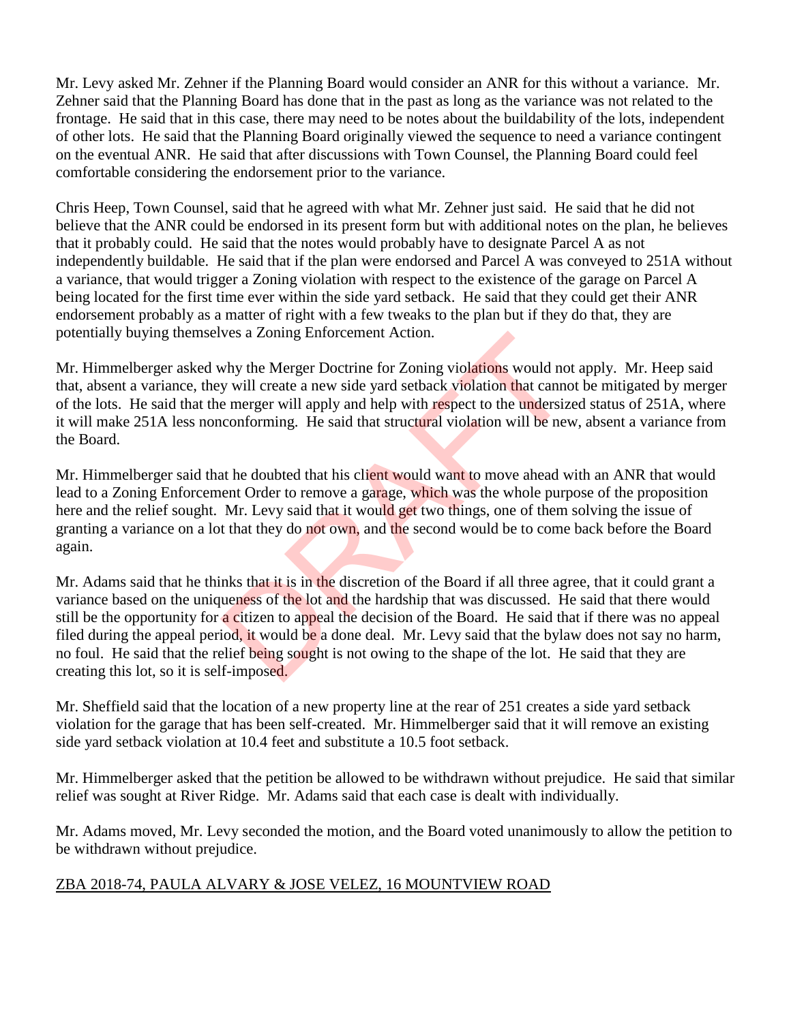Mr. Levy asked Mr. Zehner if the Planning Board would consider an ANR for this without a variance. Mr. Zehner said that the Planning Board has done that in the past as long as the variance was not related to the frontage. He said that in this case, there may need to be notes about the buildability of the lots, independent of other lots. He said that the Planning Board originally viewed the sequence to need a variance contingent on the eventual ANR. He said that after discussions with Town Counsel, the Planning Board could feel comfortable considering the endorsement prior to the variance.

Chris Heep, Town Counsel, said that he agreed with what Mr. Zehner just said. He said that he did not believe that the ANR could be endorsed in its present form but with additional notes on the plan, he believes that it probably could. He said that the notes would probably have to designate Parcel A as not independently buildable. He said that if the plan were endorsed and Parcel A was conveyed to 251A without a variance, that would trigger a Zoning violation with respect to the existence of the garage on Parcel A being located for the first time ever within the side yard setback. He said that they could get their ANR endorsement probably as a matter of right with a few tweaks to the plan but if they do that, they are potentially buying themselves a Zoning Enforcement Action.

Mr. Himmelberger asked why the Merger Doctrine for Zoning violations would not apply. Mr. Heep said that, absent a variance, they will create a new side yard setback violation that cannot be mitigated by merger of the lots. He said that the merger will apply and help with respect to the undersized status of 251A, where it will make 251A less nonconforming. He said that structural violation will be new, absent a variance from the Board.

Mr. Himmelberger said that he doubted that his client would want to move ahead with an ANR that would lead to a Zoning Enforcement Order to remove a garage, which was the whole purpose of the proposition here and the relief sought. Mr. Levy said that it would get two things, one of them solving the issue of granting a variance on a lot that they do not own, and the second would be to come back before the Board again.

Mr. Adams said that he thinks that it is in the discretion of the Board if all three agree, that it could grant a variance based on the uniqueness of the lot and the hardship that was discussed. He said that there would still be the opportunity for a citizen to appeal the decision of the Board. He said that if there was no appeal filed during the appeal period, it would be a done deal. Mr. Levy said that the bylaw does not say no harm, no foul. He said that the relief being sought is not owing to the shape of the lot. He said that they are creating this lot, so it is self-imposed. ves a Zoning Enforcement Action.<br>
why the Merger Doctrine for Zoning violations would not<br>
y will create a new side yard setback violation that cannot<br>
e merger will apply and help with respect to the undersize<br>
conforming

Mr. Sheffield said that the location of a new property line at the rear of 251 creates a side yard setback violation for the garage that has been self-created. Mr. Himmelberger said that it will remove an existing side yard setback violation at 10.4 feet and substitute a 10.5 foot setback.

Mr. Himmelberger asked that the petition be allowed to be withdrawn without prejudice. He said that similar relief was sought at River Ridge. Mr. Adams said that each case is dealt with individually.

Mr. Adams moved, Mr. Levy seconded the motion, and the Board voted unanimously to allow the petition to be withdrawn without prejudice.

## ZBA 2018-74, PAULA ALVARY & JOSE VELEZ, 16 MOUNTVIEW ROAD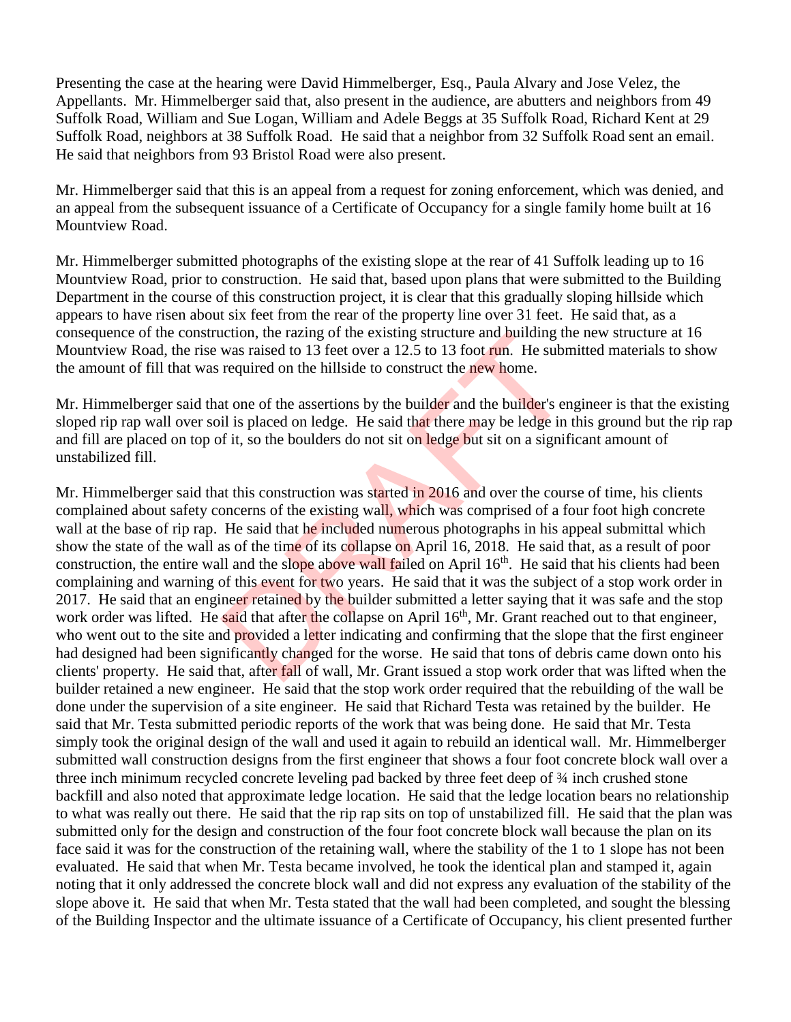Presenting the case at the hearing were David Himmelberger, Esq., Paula Alvary and Jose Velez, the Appellants. Mr. Himmelberger said that, also present in the audience, are abutters and neighbors from 49 Suffolk Road, William and Sue Logan, William and Adele Beggs at 35 Suffolk Road, Richard Kent at 29 Suffolk Road, neighbors at 38 Suffolk Road. He said that a neighbor from 32 Suffolk Road sent an email. He said that neighbors from 93 Bristol Road were also present.

Mr. Himmelberger said that this is an appeal from a request for zoning enforcement, which was denied, and an appeal from the subsequent issuance of a Certificate of Occupancy for a single family home built at 16 Mountview Road.

Mr. Himmelberger submitted photographs of the existing slope at the rear of 41 Suffolk leading up to 16 Mountview Road, prior to construction. He said that, based upon plans that were submitted to the Building Department in the course of this construction project, it is clear that this gradually sloping hillside which appears to have risen about six feet from the rear of the property line over 31 feet. He said that, as a consequence of the construction, the razing of the existing structure and building the new structure at 16 Mountview Road, the rise was raised to 13 feet over a 12.5 to 13 foot run. He submitted materials to show the amount of fill that was required on the hillside to construct the new home.

Mr. Himmelberger said that one of the assertions by the builder and the builder's engineer is that the existing sloped rip rap wall over soil is placed on ledge. He said that there may be ledge in this ground but the rip rap and fill are placed on top of it, so the boulders do not sit on ledge but sit on a significant amount of unstabilized fill.

Mr. Himmelberger said that this construction was started in 2016 and over the course of time, his clients complained about safety concerns of the existing wall, which was comprised of a four foot high concrete wall at the base of rip rap. He said that he included numerous photographs in his appeal submittal which show the state of the wall as of the time of its collapse on April 16, 2018. He said that, as a result of poor construction, the entire wall and the slope above wall failed on April 16<sup>th</sup>. He said that his clients had been complaining and warning of this event for two years. He said that it was the subject of a stop work order in 2017. He said that an engineer retained by the builder submitted a letter saying that it was safe and the stop work order was lifted. He said that after the collapse on April 16<sup>th</sup>, Mr. Grant reached out to that engineer, who went out to the site and provided a letter indicating and confirming that the slope that the first engineer had designed had been significantly changed for the worse. He said that tons of debris came down onto his clients' property. He said that, after fall of wall, Mr. Grant issued a stop work order that was lifted when the builder retained a new engineer. He said that the stop work order required that the rebuilding of the wall be done under the supervision of a site engineer. He said that Richard Testa was retained by the builder. He said that Mr. Testa submitted periodic reports of the work that was being done. He said that Mr. Testa simply took the original design of the wall and used it again to rebuild an identical wall. Mr. Himmelberger submitted wall construction designs from the first engineer that shows a four foot concrete block wall over a three inch minimum recycled concrete leveling pad backed by three feet deep of ¾ inch crushed stone backfill and also noted that approximate ledge location. He said that the ledge location bears no relationship to what was really out there. He said that the rip rap sits on top of unstabilized fill. He said that the plan was submitted only for the design and construction of the four foot concrete block wall because the plan on its face said it was for the construction of the retaining wall, where the stability of the 1 to 1 slope has not been evaluated. He said that when Mr. Testa became involved, he took the identical plan and stamped it, again noting that it only addressed the concrete block wall and did not express any evaluation of the stability of the slope above it. He said that when Mr. Testa stated that the wall had been completed, and sought the blessing of the Building Inspector and the ultimate issuance of a Certificate of Occupancy, his client presented further lation, the razing of the existing structure and building the was raised to 13 feet over a 12.5 to 13 foot **run**. He subn required on the hillside to construct the **new home**.<br>At one of the assertions by the builder and t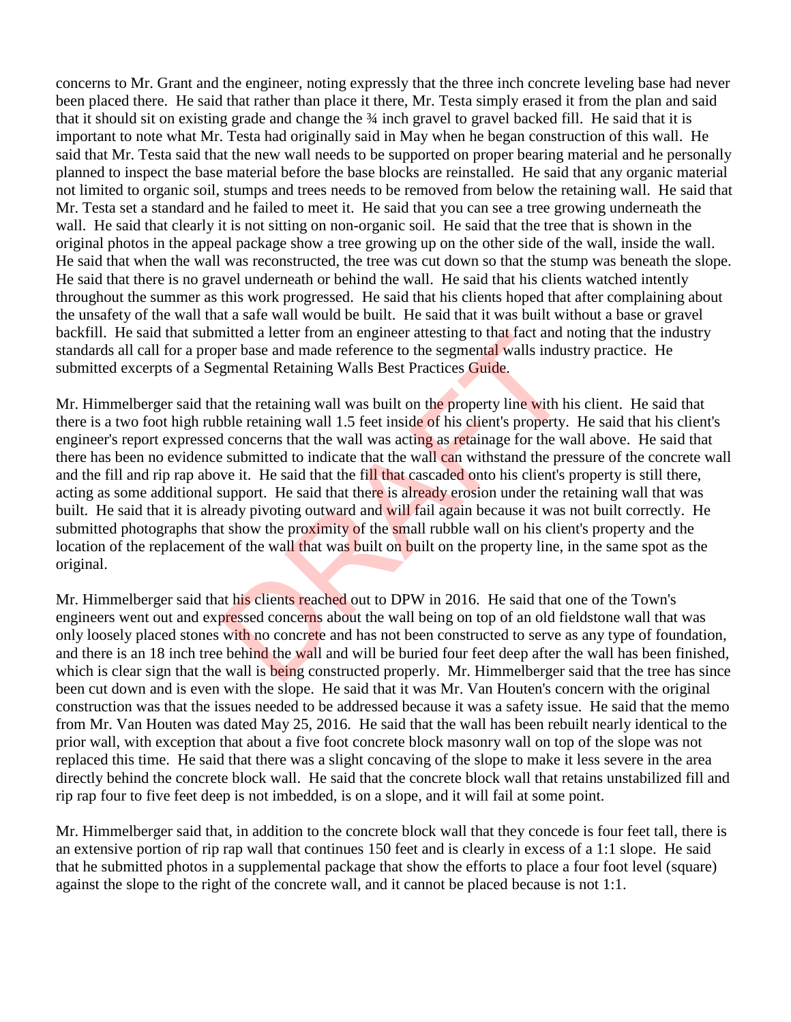concerns to Mr. Grant and the engineer, noting expressly that the three inch concrete leveling base had never been placed there. He said that rather than place it there, Mr. Testa simply erased it from the plan and said that it should sit on existing grade and change the ¾ inch gravel to gravel backed fill. He said that it is important to note what Mr. Testa had originally said in May when he began construction of this wall. He said that Mr. Testa said that the new wall needs to be supported on proper bearing material and he personally planned to inspect the base material before the base blocks are reinstalled. He said that any organic material not limited to organic soil, stumps and trees needs to be removed from below the retaining wall. He said that Mr. Testa set a standard and he failed to meet it. He said that you can see a tree growing underneath the wall. He said that clearly it is not sitting on non-organic soil. He said that the tree that is shown in the original photos in the appeal package show a tree growing up on the other side of the wall, inside the wall. He said that when the wall was reconstructed, the tree was cut down so that the stump was beneath the slope. He said that there is no gravel underneath or behind the wall. He said that his clients watched intently throughout the summer as this work progressed. He said that his clients hoped that after complaining about the unsafety of the wall that a safe wall would be built. He said that it was built without a base or gravel backfill. He said that submitted a letter from an engineer attesting to that fact and noting that the industry standards all call for a proper base and made reference to the segmental walls industry practice. He submitted excerpts of a Segmental Retaining Walls Best Practices Guide.

Mr. Himmelberger said that the retaining wall was built on the property line with his client. He said that there is a two foot high rubble retaining wall 1.5 feet inside of his client's property. He said that his client's engineer's report expressed concerns that the wall was acting as retainage for the wall above. He said that there has been no evidence submitted to indicate that the wall can withstand the pressure of the concrete wall and the fill and rip rap above it. He said that the fill that cascaded onto his client's property is still there, acting as some additional support. He said that there is already erosion under the retaining wall that was built. He said that it is already pivoting outward and will fail again because it was not built correctly. He submitted photographs that show the proximity of the small rubble wall on his client's property and the location of the replacement of the wall that was built on built on the property line, in the same spot as the original. initied a letter from an engineer attesting to that fact and n<br>per base and made reference to the segmental walls indus<br>gmental Retaining Walls Best Practices Guide.<br>At the retaining wall was built on the property line wit

Mr. Himmelberger said that his clients reached out to DPW in 2016. He said that one of the Town's engineers went out and expressed concerns about the wall being on top of an old fieldstone wall that was only loosely placed stones with no concrete and has not been constructed to serve as any type of foundation, and there is an 18 inch tree behind the wall and will be buried four feet deep after the wall has been finished, which is clear sign that the wall is being constructed properly. Mr. Himmelberger said that the tree has since been cut down and is even with the slope. He said that it was Mr. Van Houten's concern with the original construction was that the issues needed to be addressed because it was a safety issue. He said that the memo from Mr. Van Houten was dated May 25, 2016. He said that the wall has been rebuilt nearly identical to the prior wall, with exception that about a five foot concrete block masonry wall on top of the slope was not replaced this time. He said that there was a slight concaving of the slope to make it less severe in the area directly behind the concrete block wall. He said that the concrete block wall that retains unstabilized fill and rip rap four to five feet deep is not imbedded, is on a slope, and it will fail at some point.

Mr. Himmelberger said that, in addition to the concrete block wall that they concede is four feet tall, there is an extensive portion of rip rap wall that continues 150 feet and is clearly in excess of a 1:1 slope. He said that he submitted photos in a supplemental package that show the efforts to place a four foot level (square) against the slope to the right of the concrete wall, and it cannot be placed because is not 1:1.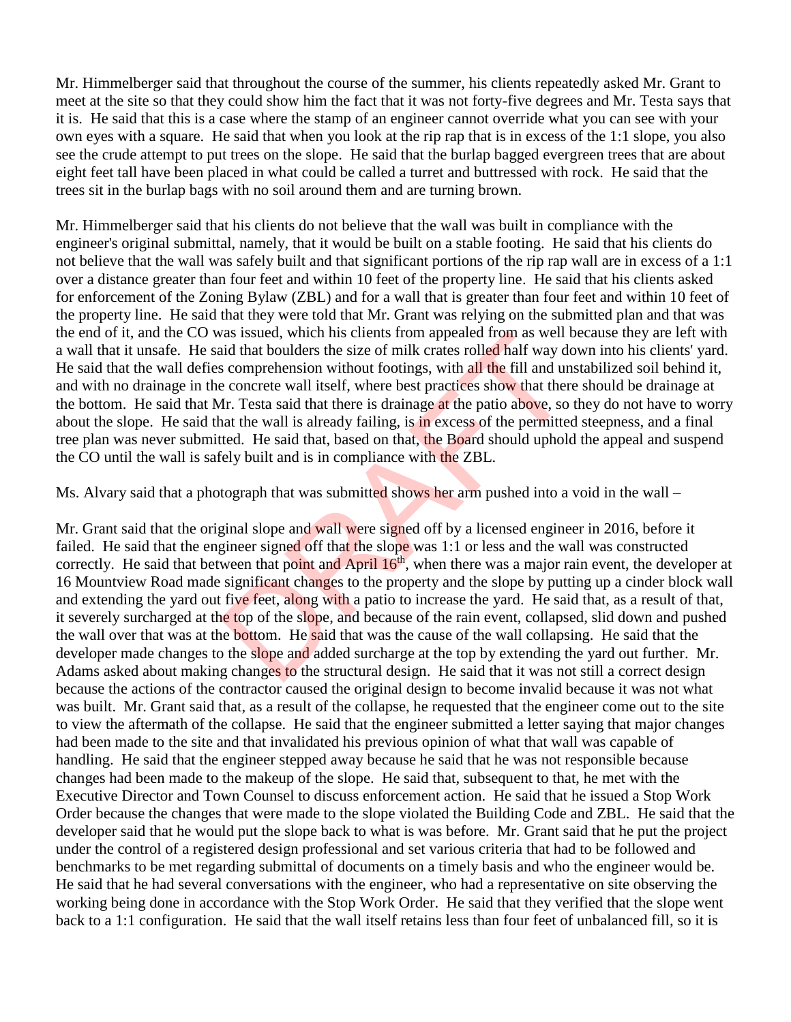Mr. Himmelberger said that throughout the course of the summer, his clients repeatedly asked Mr. Grant to meet at the site so that they could show him the fact that it was not forty-five degrees and Mr. Testa says that it is. He said that this is a case where the stamp of an engineer cannot override what you can see with your own eyes with a square. He said that when you look at the rip rap that is in excess of the 1:1 slope, you also see the crude attempt to put trees on the slope. He said that the burlap bagged evergreen trees that are about eight feet tall have been placed in what could be called a turret and buttressed with rock. He said that the trees sit in the burlap bags with no soil around them and are turning brown.

Mr. Himmelberger said that his clients do not believe that the wall was built in compliance with the engineer's original submittal, namely, that it would be built on a stable footing. He said that his clients do not believe that the wall was safely built and that significant portions of the rip rap wall are in excess of a 1:1 over a distance greater than four feet and within 10 feet of the property line. He said that his clients asked for enforcement of the Zoning Bylaw (ZBL) and for a wall that is greater than four feet and within 10 feet of the property line. He said that they were told that Mr. Grant was relying on the submitted plan and that was the end of it, and the CO was issued, which his clients from appealed from as well because they are left with a wall that it unsafe. He said that boulders the size of milk crates rolled half way down into his clients' yard. He said that the wall defies comprehension without footings, with all the fill and unstabilized soil behind it, and with no drainage in the concrete wall itself, where best practices show that there should be drainage at the bottom. He said that Mr. Testa said that there is drainage at the patio above, so they do not have to worry about the slope. He said that the wall is already failing, is in excess of the permitted steepness, and a final tree plan was never submitted. He said that, based on that, the Board should uphold the appeal and suspend the CO until the wall is safely built and is in compliance with the ZBL.

Ms. Alvary said that a photograph that was submitted shows her arm pushed into a void in the wall –

Mr. Grant said that the original slope and wall were signed off by a licensed engineer in 2016, before it failed. He said that the engineer signed off that the slope was 1:1 or less and the wall was constructed correctly. He said that between that point and April 16<sup>th</sup>, when there was a major rain event, the developer at 16 Mountview Road made significant changes to the property and the slope by putting up a cinder block wall and extending the yard out five feet, along with a patio to increase the yard. He said that, as a result of that, it severely surcharged at the top of the slope, and because of the rain event, collapsed, slid down and pushed the wall over that was at the bottom. He said that was the cause of the wall collapsing. He said that the developer made changes to the slope and added surcharge at the top by extending the yard out further. Mr. Adams asked about making changes to the structural design. He said that it was not still a correct design because the actions of the contractor caused the original design to become invalid because it was not what was built. Mr. Grant said that, as a result of the collapse, he requested that the engineer come out to the site to view the aftermath of the collapse. He said that the engineer submitted a letter saying that major changes had been made to the site and that invalidated his previous opinion of what that wall was capable of handling. He said that the engineer stepped away because he said that he was not responsible because changes had been made to the makeup of the slope. He said that, subsequent to that, he met with the Executive Director and Town Counsel to discuss enforcement action. He said that he issued a Stop Work Order because the changes that were made to the slope violated the Building Code and ZBL. He said that the developer said that he would put the slope back to what is was before. Mr. Grant said that he put the project under the control of a registered design professional and set various criteria that had to be followed and benchmarks to be met regarding submittal of documents on a timely basis and who the engineer would be. He said that he had several conversations with the engineer, who had a representative on site observing the working being done in accordance with the Stop Work Order. He said that they verified that the slope went back to a 1:1 configuration. He said that the wall itself retains less than four feet of unbalanced fill, so it is as issued, which his clients from appealed from as well is<br>id that boulders the size of milk crates rolled half way do<br>s comprehension without footings, with **all the** fill and un<br>e concrete wall itself, where best practic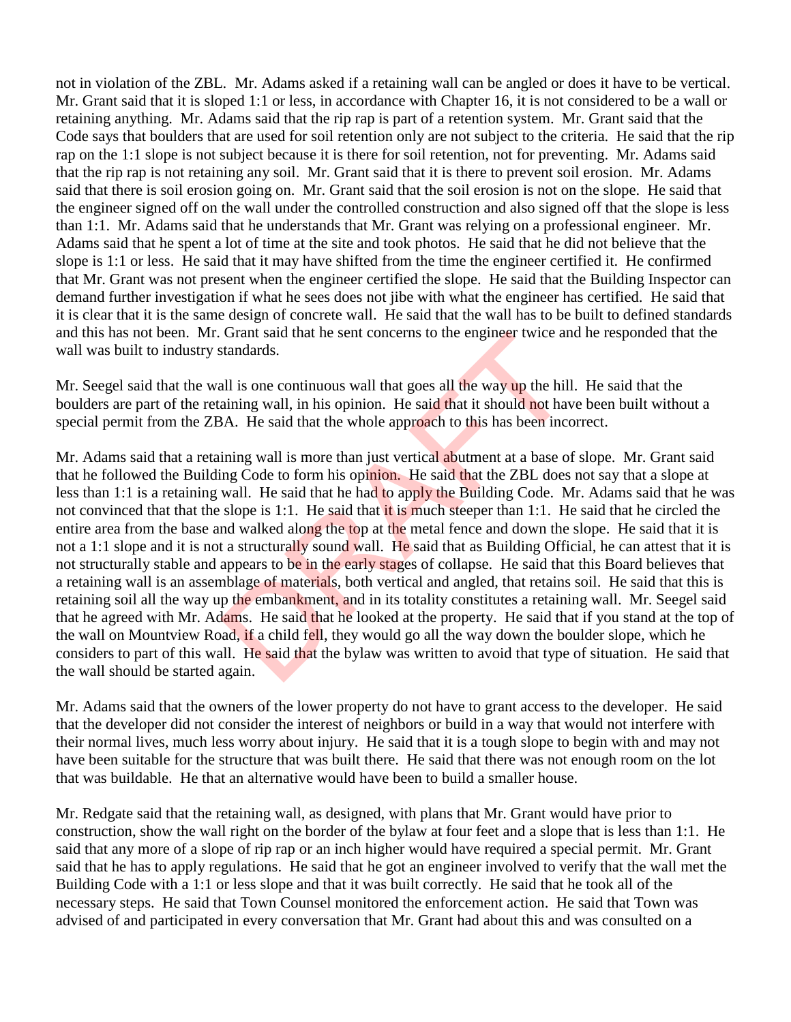not in violation of the ZBL. Mr. Adams asked if a retaining wall can be angled or does it have to be vertical. Mr. Grant said that it is sloped 1:1 or less, in accordance with Chapter 16, it is not considered to be a wall or retaining anything. Mr. Adams said that the rip rap is part of a retention system. Mr. Grant said that the Code says that boulders that are used for soil retention only are not subject to the criteria. He said that the rip rap on the 1:1 slope is not subject because it is there for soil retention, not for preventing. Mr. Adams said that the rip rap is not retaining any soil. Mr. Grant said that it is there to prevent soil erosion. Mr. Adams said that there is soil erosion going on. Mr. Grant said that the soil erosion is not on the slope. He said that the engineer signed off on the wall under the controlled construction and also signed off that the slope is less than 1:1. Mr. Adams said that he understands that Mr. Grant was relying on a professional engineer. Mr. Adams said that he spent a lot of time at the site and took photos. He said that he did not believe that the slope is 1:1 or less. He said that it may have shifted from the time the engineer certified it. He confirmed that Mr. Grant was not present when the engineer certified the slope. He said that the Building Inspector can demand further investigation if what he sees does not jibe with what the engineer has certified. He said that it is clear that it is the same design of concrete wall. He said that the wall has to be built to defined standards and this has not been. Mr. Grant said that he sent concerns to the engineer twice and he responded that the wall was built to industry standards.

Mr. Seegel said that the wall is one continuous wall that goes all the way up the hill. He said that the boulders are part of the retaining wall, in his opinion. He said that it should not have been built without a special permit from the ZBA. He said that the whole approach to this has been incorrect.

Mr. Adams said that a retaining wall is more than just vertical abutment at a base of slope. Mr. Grant said that he followed the Building Code to form his opinion. He said that the ZBL does not say that a slope at less than 1:1 is a retaining wall. He said that he had to apply the Building Code. Mr. Adams said that he was not convinced that that the slope is 1:1. He said that it is much steeper than 1:1. He said that he circled the entire area from the base and walked along the top at the metal fence and down the slope. He said that it is not a 1:1 slope and it is not a structurally sound wall. He said that as Building Official, he can attest that it is not structurally stable and appears to be in the early stages of collapse. He said that this Board believes that a retaining wall is an assemblage of materials, both vertical and angled, that retains soil. He said that this is retaining soil all the way up the embankment, and in its totality constitutes a retaining wall. Mr. Seegel said that he agreed with Mr. Adams. He said that he looked at the property. He said that if you stand at the top of the wall on Mountview Road, if a child fell, they would go all the way down the boulder slope, which he considers to part of this wall. He said that the bylaw was written to avoid that type of situation. He said that the wall should be started again. Grant said that he sent concerns to the engineer twice and standards.<br>
all is one continuous wall that goes all the way up the hill<br>
aining wall, in his opinion. He said that it should not have<br>
A. He said that the whole a

Mr. Adams said that the owners of the lower property do not have to grant access to the developer. He said that the developer did not consider the interest of neighbors or build in a way that would not interfere with their normal lives, much less worry about injury. He said that it is a tough slope to begin with and may not have been suitable for the structure that was built there. He said that there was not enough room on the lot that was buildable. He that an alternative would have been to build a smaller house.

Mr. Redgate said that the retaining wall, as designed, with plans that Mr. Grant would have prior to construction, show the wall right on the border of the bylaw at four feet and a slope that is less than 1:1. He said that any more of a slope of rip rap or an inch higher would have required a special permit. Mr. Grant said that he has to apply regulations. He said that he got an engineer involved to verify that the wall met the Building Code with a 1:1 or less slope and that it was built correctly. He said that he took all of the necessary steps. He said that Town Counsel monitored the enforcement action. He said that Town was advised of and participated in every conversation that Mr. Grant had about this and was consulted on a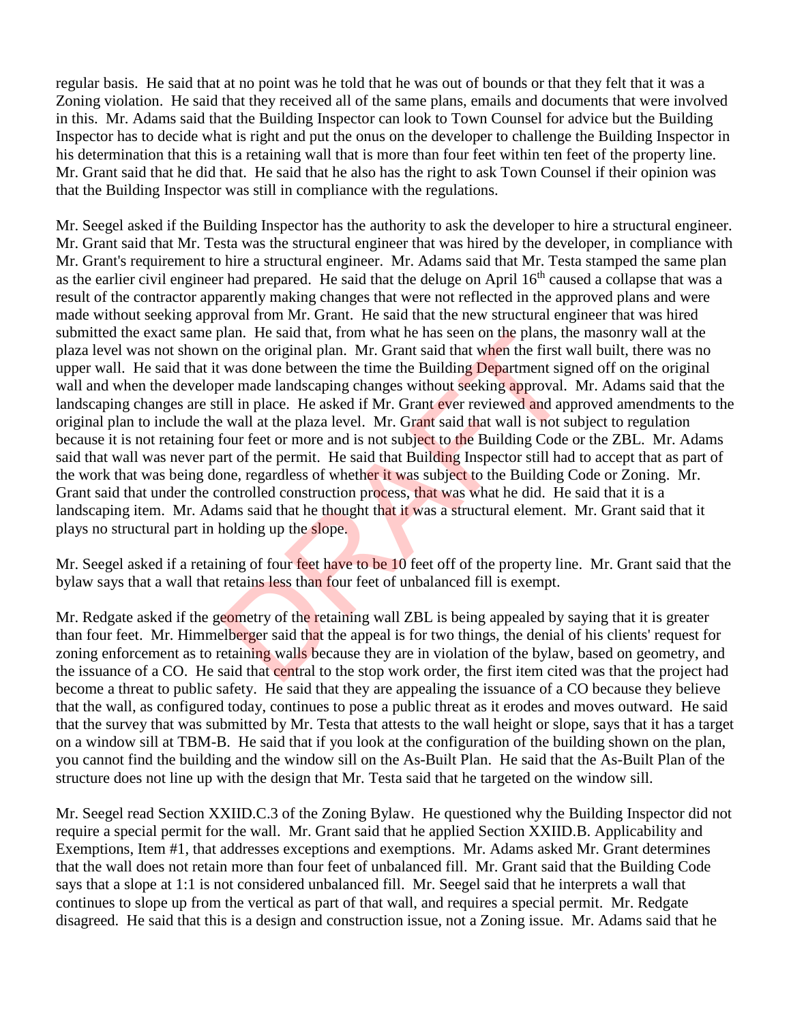regular basis. He said that at no point was he told that he was out of bounds or that they felt that it was a Zoning violation. He said that they received all of the same plans, emails and documents that were involved in this. Mr. Adams said that the Building Inspector can look to Town Counsel for advice but the Building Inspector has to decide what is right and put the onus on the developer to challenge the Building Inspector in his determination that this is a retaining wall that is more than four feet within ten feet of the property line. Mr. Grant said that he did that. He said that he also has the right to ask Town Counsel if their opinion was that the Building Inspector was still in compliance with the regulations.

Mr. Seegel asked if the Building Inspector has the authority to ask the developer to hire a structural engineer. Mr. Grant said that Mr. Testa was the structural engineer that was hired by the developer, in compliance with Mr. Grant's requirement to hire a structural engineer. Mr. Adams said that Mr. Testa stamped the same plan as the earlier civil engineer had prepared. He said that the deluge on April 16<sup>th</sup> caused a collapse that was a result of the contractor apparently making changes that were not reflected in the approved plans and were made without seeking approval from Mr. Grant. He said that the new structural engineer that was hired submitted the exact same plan. He said that, from what he has seen on the plans, the masonry wall at the plaza level was not shown on the original plan. Mr. Grant said that when the first wall built, there was no upper wall. He said that it was done between the time the Building Department signed off on the original wall and when the developer made landscaping changes without seeking approval. Mr. Adams said that the landscaping changes are still in place. He asked if Mr. Grant ever reviewed and approved amendments to the original plan to include the wall at the plaza level. Mr. Grant said that wall is not subject to regulation because it is not retaining four feet or more and is not subject to the Building Code or the ZBL. Mr. Adams said that wall was never part of the permit. He said that Building Inspector still had to accept that as part of the work that was being done, regardless of whether it was subject to the Building Code or Zoning. Mr. Grant said that under the controlled construction process, that was what he did. He said that it is a landscaping item. Mr. Adams said that he thought that it was a structural element. Mr. Grant said that it plays no structural part in holding up the slope. bian. He said that, from what he has seen on the plans, the original plan. Mr. Grant said that when the first v<br>was done between the time the Building Department sig<br>er made landscaping changes without seeking approval.<br>il

Mr. Seegel asked if a retaining of four feet have to be 10 feet off of the property line. Mr. Grant said that the bylaw says that a wall that retains less than four feet of unbalanced fill is exempt.

Mr. Redgate asked if the geometry of the retaining wall ZBL is being appealed by saying that it is greater than four feet. Mr. Himmelberger said that the appeal is for two things, the denial of his clients' request for zoning enforcement as to retaining walls because they are in violation of the bylaw, based on geometry, and the issuance of a CO. He said that central to the stop work order, the first item cited was that the project had become a threat to public safety. He said that they are appealing the issuance of a CO because they believe that the wall, as configured today, continues to pose a public threat as it erodes and moves outward. He said that the survey that was submitted by Mr. Testa that attests to the wall height or slope, says that it has a target on a window sill at TBM-B. He said that if you look at the configuration of the building shown on the plan, you cannot find the building and the window sill on the As-Built Plan. He said that the As-Built Plan of the structure does not line up with the design that Mr. Testa said that he targeted on the window sill.

Mr. Seegel read Section XXIID.C.3 of the Zoning Bylaw. He questioned why the Building Inspector did not require a special permit for the wall. Mr. Grant said that he applied Section XXIID.B. Applicability and Exemptions, Item #1, that addresses exceptions and exemptions. Mr. Adams asked Mr. Grant determines that the wall does not retain more than four feet of unbalanced fill. Mr. Grant said that the Building Code says that a slope at 1:1 is not considered unbalanced fill. Mr. Seegel said that he interprets a wall that continues to slope up from the vertical as part of that wall, and requires a special permit. Mr. Redgate disagreed. He said that this is a design and construction issue, not a Zoning issue. Mr. Adams said that he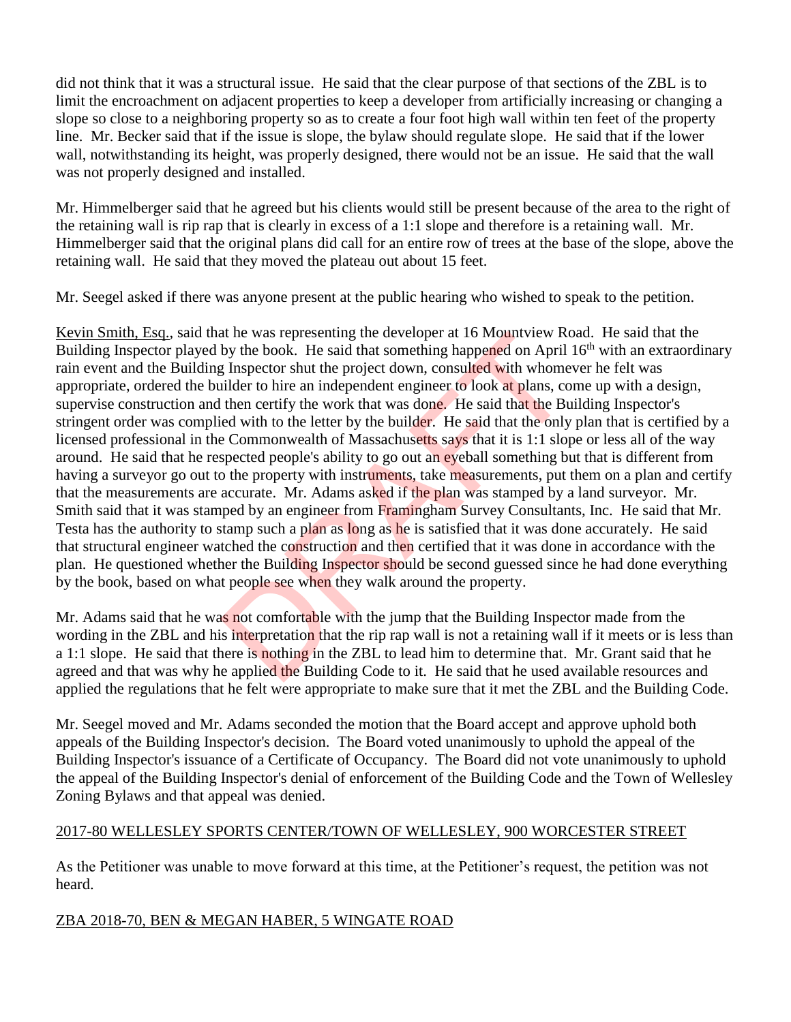did not think that it was a structural issue. He said that the clear purpose of that sections of the ZBL is to limit the encroachment on adjacent properties to keep a developer from artificially increasing or changing a slope so close to a neighboring property so as to create a four foot high wall within ten feet of the property line. Mr. Becker said that if the issue is slope, the bylaw should regulate slope. He said that if the lower wall, notwithstanding its height, was properly designed, there would not be an issue. He said that the wall was not properly designed and installed.

Mr. Himmelberger said that he agreed but his clients would still be present because of the area to the right of the retaining wall is rip rap that is clearly in excess of a 1:1 slope and therefore is a retaining wall. Mr. Himmelberger said that the original plans did call for an entire row of trees at the base of the slope, above the retaining wall. He said that they moved the plateau out about 15 feet.

Mr. Seegel asked if there was anyone present at the public hearing who wished to speak to the petition.

Kevin Smith, Esq., said that he was representing the developer at 16 Mountview Road. He said that the Building Inspector played by the book. He said that something happened on April 16<sup>th</sup> with an extraordinary rain event and the Building Inspector shut the project down, consulted with whomever he felt was appropriate, ordered the builder to hire an independent engineer to look at plans, come up with a design, supervise construction and then certify the work that was done. He said that the Building Inspector's stringent order was complied with to the letter by the builder. He said that the only plan that is certified by a licensed professional in the Commonwealth of Massachusetts says that it is 1:1 slope or less all of the way around. He said that he respected people's ability to go out an eyeball something but that is different from having a surveyor go out to the property with instruments, take measurements, put them on a plan and certify that the measurements are accurate. Mr. Adams asked if the plan was stamped by a land surveyor. Mr. Smith said that it was stamped by an engineer from Framingham Survey Consultants, Inc. He said that Mr. Testa has the authority to stamp such a plan as long as he is satisfied that it was done accurately. He said that structural engineer watched the construction and then certified that it was done in accordance with the plan. He questioned whether the Building Inspector should be second guessed since he had done everything by the book, based on what people see when they walk around the property. at he was representing the developer at 16 Mountview Kc<br>by the book. He said that something happened on April<br>g Inspector shut the project down, consulted with whome<br>iilder to hire an independent engineer to look at plans,

Mr. Adams said that he was not comfortable with the jump that the Building Inspector made from the wording in the ZBL and his interpretation that the rip rap wall is not a retaining wall if it meets or is less than a 1:1 slope. He said that there is nothing in the ZBL to lead him to determine that. Mr. Grant said that he agreed and that was why he applied the Building Code to it. He said that he used available resources and applied the regulations that he felt were appropriate to make sure that it met the ZBL and the Building Code.

Mr. Seegel moved and Mr. Adams seconded the motion that the Board accept and approve uphold both appeals of the Building Inspector's decision. The Board voted unanimously to uphold the appeal of the Building Inspector's issuance of a Certificate of Occupancy. The Board did not vote unanimously to uphold the appeal of the Building Inspector's denial of enforcement of the Building Code and the Town of Wellesley Zoning Bylaws and that appeal was denied.

## 2017-80 WELLESLEY SPORTS CENTER/TOWN OF WELLESLEY, 900 WORCESTER STREET

As the Petitioner was unable to move forward at this time, at the Petitioner's request, the petition was not heard.

## ZBA 2018-70, BEN & MEGAN HABER, 5 WINGATE ROAD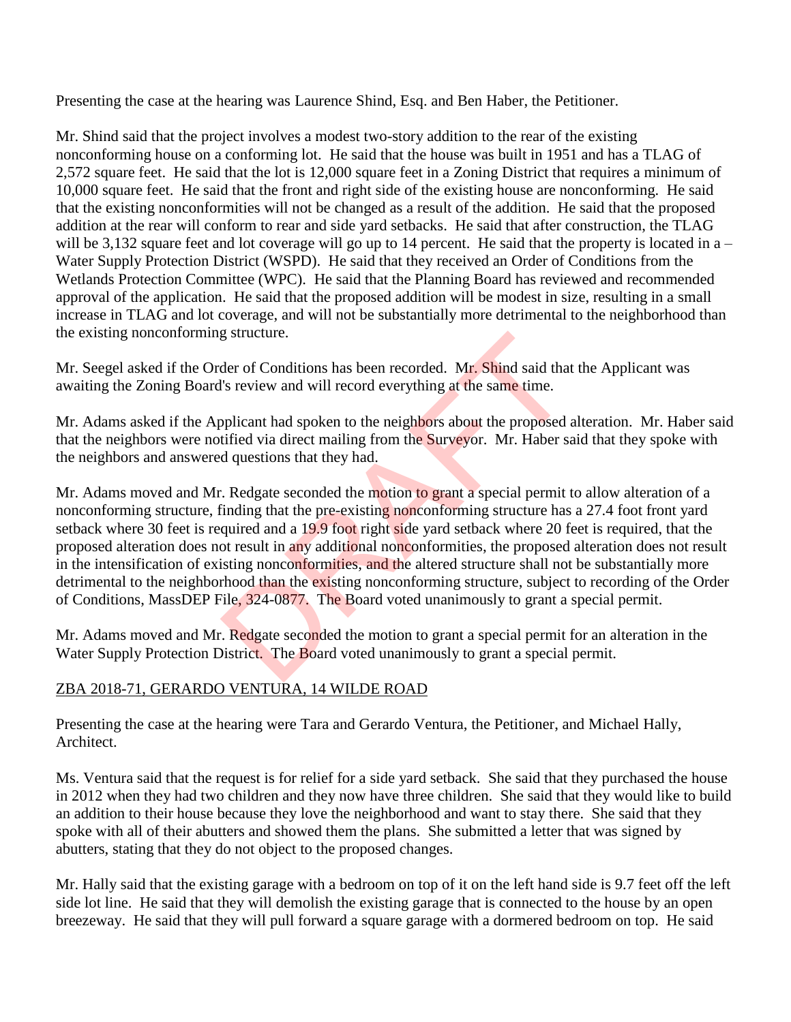Presenting the case at the hearing was Laurence Shind, Esq. and Ben Haber, the Petitioner.

Mr. Shind said that the project involves a modest two-story addition to the rear of the existing nonconforming house on a conforming lot. He said that the house was built in 1951 and has a TLAG of 2,572 square feet. He said that the lot is 12,000 square feet in a Zoning District that requires a minimum of 10,000 square feet. He said that the front and right side of the existing house are nonconforming. He said that the existing nonconformities will not be changed as a result of the addition. He said that the proposed addition at the rear will conform to rear and side yard setbacks. He said that after construction, the TLAG will be 3,132 square feet and lot coverage will go up to 14 percent. He said that the property is located in  $a -$ Water Supply Protection District (WSPD). He said that they received an Order of Conditions from the Wetlands Protection Committee (WPC). He said that the Planning Board has reviewed and recommended approval of the application. He said that the proposed addition will be modest in size, resulting in a small increase in TLAG and lot coverage, and will not be substantially more detrimental to the neighborhood than the existing nonconforming structure.

Mr. Seegel asked if the Order of Conditions has been recorded. Mr. Shind said that the Applicant was awaiting the Zoning Board's review and will record everything at the same time.

Mr. Adams asked if the Applicant had spoken to the neighbors about the proposed alteration. Mr. Haber said that the neighbors were notified via direct mailing from the Surveyor. Mr. Haber said that they spoke with the neighbors and answered questions that they had.

Mr. Adams moved and Mr. Redgate seconded the motion to grant a special permit to allow alteration of a nonconforming structure, finding that the pre-existing nonconforming structure has a 27.4 foot front yard setback where 30 feet is required and a 19.9 foot right side yard setback where 20 feet is required, that the proposed alteration does not result in any additional nonconformities, the proposed alteration does not result in the intensification of existing nonconformities, and the altered structure shall not be substantially more detrimental to the neighborhood than the existing nonconforming structure, subject to recording of the Order of Conditions, MassDEP File, 324-0877. The Board voted unanimously to grant a special permit. g structure.<br>
der of Conditions has been recorded. Mr. Shind said that<br>
"Is review and will record everything at the same time.<br>
pplicant had spoken to the neighbors about the proposed at<br>
tified via direct mailing from th

Mr. Adams moved and Mr. Redgate seconded the motion to grant a special permit for an alteration in the Water Supply Protection District. The Board voted unanimously to grant a special permit.

## ZBA 2018-71, GERARDO VENTURA, 14 WILDE ROAD

Presenting the case at the hearing were Tara and Gerardo Ventura, the Petitioner, and Michael Hally, Architect.

Ms. Ventura said that the request is for relief for a side yard setback. She said that they purchased the house in 2012 when they had two children and they now have three children. She said that they would like to build an addition to their house because they love the neighborhood and want to stay there. She said that they spoke with all of their abutters and showed them the plans. She submitted a letter that was signed by abutters, stating that they do not object to the proposed changes.

Mr. Hally said that the existing garage with a bedroom on top of it on the left hand side is 9.7 feet off the left side lot line. He said that they will demolish the existing garage that is connected to the house by an open breezeway. He said that they will pull forward a square garage with a dormered bedroom on top. He said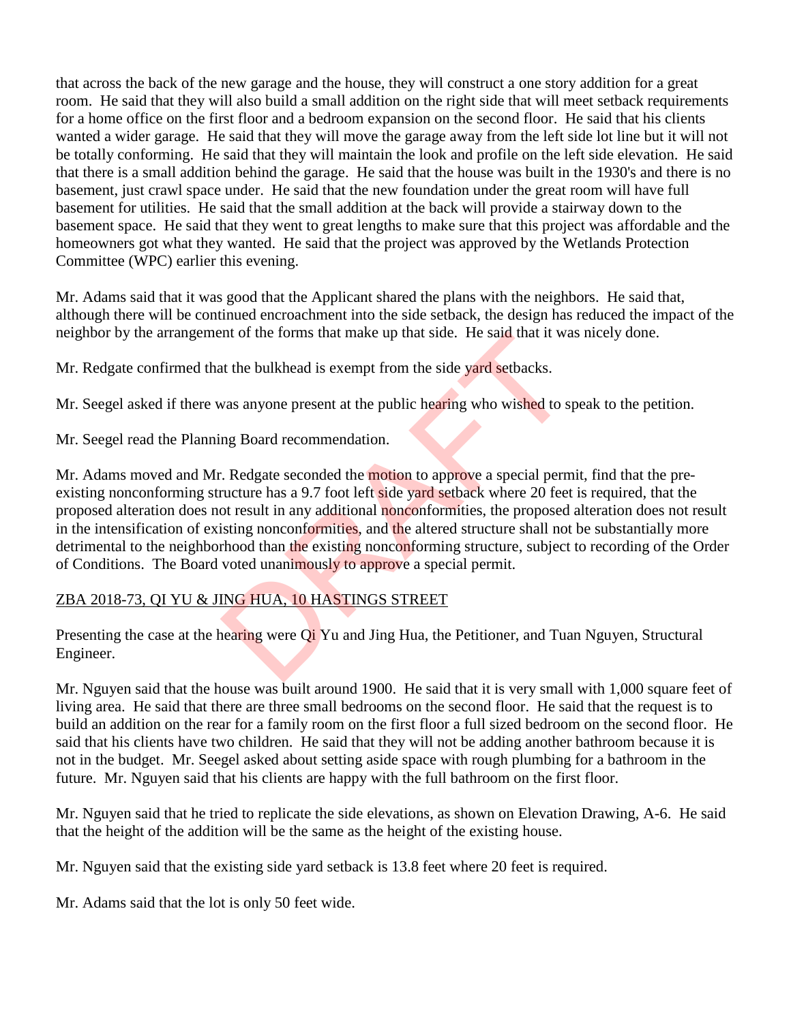that across the back of the new garage and the house, they will construct a one story addition for a great room. He said that they will also build a small addition on the right side that will meet setback requirements for a home office on the first floor and a bedroom expansion on the second floor. He said that his clients wanted a wider garage. He said that they will move the garage away from the left side lot line but it will not be totally conforming. He said that they will maintain the look and profile on the left side elevation. He said that there is a small addition behind the garage. He said that the house was built in the 1930's and there is no basement, just crawl space under. He said that the new foundation under the great room will have full basement for utilities. He said that the small addition at the back will provide a stairway down to the basement space. He said that they went to great lengths to make sure that this project was affordable and the homeowners got what they wanted. He said that the project was approved by the Wetlands Protection Committee (WPC) earlier this evening.

Mr. Adams said that it was good that the Applicant shared the plans with the neighbors. He said that, although there will be continued encroachment into the side setback, the design has reduced the impact of the neighbor by the arrangement of the forms that make up that side. He said that it was nicely done.

Mr. Redgate confirmed that the bulkhead is exempt from the side yard setbacks.

Mr. Seegel asked if there was anyone present at the public hearing who wished to speak to the petition.

Mr. Seegel read the Planning Board recommendation.

Mr. Adams moved and Mr. Redgate seconded the motion to approve a special permit, find that the preexisting nonconforming structure has a 9.7 foot left side yard setback where 20 feet is required, that the proposed alteration does not result in any additional nonconformities, the proposed alteration does not result in the intensification of existing nonconformities, and the altered structure shall not be substantially more detrimental to the neighborhood than the existing nonconforming structure, subject to recording of the Order of Conditions. The Board voted unanimously to approve a special permit. Int of the forms that make up that side. He said that it was<br>to the bulkhead is exempt from the side yard setbacks.<br>was anyone present at the public hearing who wished to s<br>ng Board recommendation.<br>.. Redgate seconded the

# ZBA 2018-73, QI YU & JING HUA, 10 HASTINGS STREET

Presenting the case at the hearing were Q<sub>i</sub> Yu and Jing Hua, the Petitioner, and Tuan Nguyen, Structural Engineer.

Mr. Nguyen said that the house was built around 1900. He said that it is very small with 1,000 square feet of living area. He said that there are three small bedrooms on the second floor. He said that the request is to build an addition on the rear for a family room on the first floor a full sized bedroom on the second floor. He said that his clients have two children. He said that they will not be adding another bathroom because it is not in the budget. Mr. Seegel asked about setting aside space with rough plumbing for a bathroom in the future. Mr. Nguyen said that his clients are happy with the full bathroom on the first floor.

Mr. Nguyen said that he tried to replicate the side elevations, as shown on Elevation Drawing, A-6. He said that the height of the addition will be the same as the height of the existing house.

Mr. Nguyen said that the existing side yard setback is 13.8 feet where 20 feet is required.

Mr. Adams said that the lot is only 50 feet wide.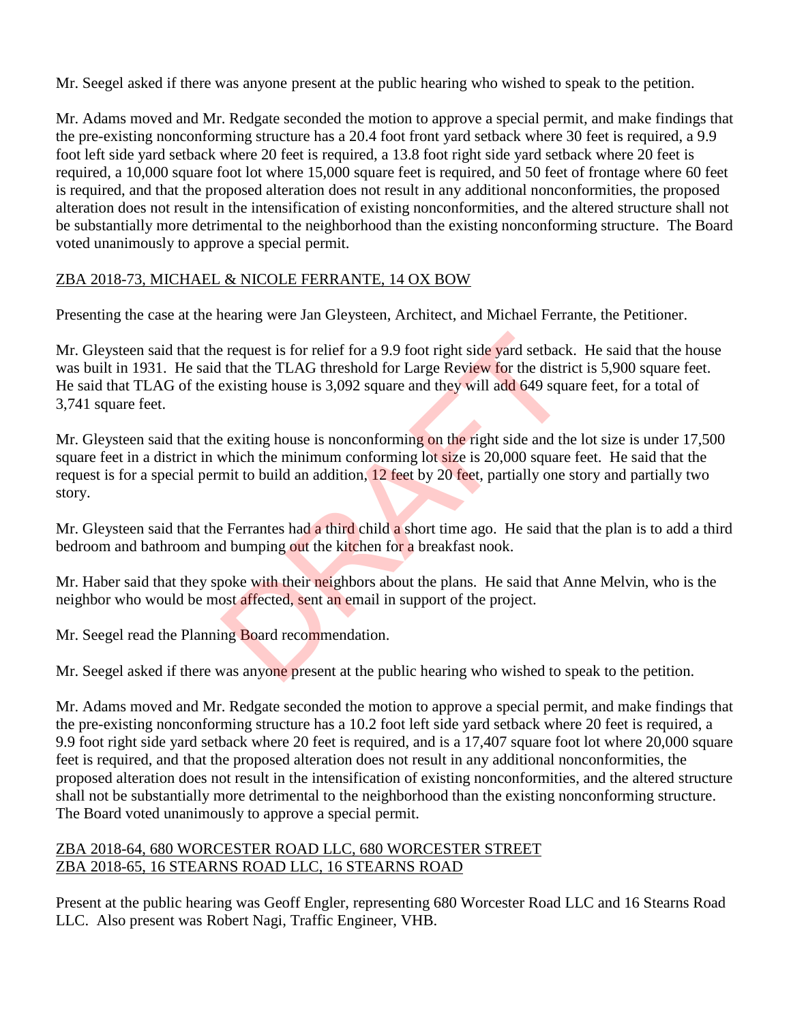Mr. Seegel asked if there was anyone present at the public hearing who wished to speak to the petition.

Mr. Adams moved and Mr. Redgate seconded the motion to approve a special permit, and make findings that the pre-existing nonconforming structure has a 20.4 foot front yard setback where 30 feet is required, a 9.9 foot left side yard setback where 20 feet is required, a 13.8 foot right side yard setback where 20 feet is required, a 10,000 square foot lot where 15,000 square feet is required, and 50 feet of frontage where 60 feet is required, and that the proposed alteration does not result in any additional nonconformities, the proposed alteration does not result in the intensification of existing nonconformities, and the altered structure shall not be substantially more detrimental to the neighborhood than the existing nonconforming structure. The Board voted unanimously to approve a special permit.

### ZBA 2018-73, MICHAEL & NICOLE FERRANTE, 14 OX BOW

Presenting the case at the hearing were Jan Gleysteen, Architect, and Michael Ferrante, the Petitioner.

Mr. Gleysteen said that the request is for relief for a 9.9 foot right side yard setback. He said that the house was built in 1931. He said that the TLAG threshold for Large Review for the district is 5,900 square feet. He said that TLAG of the existing house is 3,092 square and they will add 649 square feet, for a total of 3,741 square feet. Exercuted is for relief for a 9.9 foot right side yard setback<br>that the TLAG threshold for Large Review for the distrinexisting house is 3,092 square and they will add 649 square<br>exiting house is nonconforming on the right

Mr. Gleysteen said that the exiting house is nonconforming on the right side and the lot size is under 17,500 square feet in a district in which the minimum conforming lot size is 20,000 square feet. He said that the request is for a special permit to build an addition, 12 feet by 20 feet, partially one story and partially two story.

Mr. Gleysteen said that the Ferrantes had a third child a short time ago. He said that the plan is to add a third bedroom and bathroom and bumping out the kitchen for a breakfast nook.

Mr. Haber said that they spoke with their neighbors about the plans. He said that Anne Melvin, who is the neighbor who would be most affected, sent an email in support of the project.

Mr. Seegel read the Planning Board recommendation.

Mr. Seegel asked if there was anyone present at the public hearing who wished to speak to the petition.

Mr. Adams moved and Mr. Redgate seconded the motion to approve a special permit, and make findings that the pre-existing nonconforming structure has a 10.2 foot left side yard setback where 20 feet is required, a 9.9 foot right side yard setback where 20 feet is required, and is a 17,407 square foot lot where 20,000 square feet is required, and that the proposed alteration does not result in any additional nonconformities, the proposed alteration does not result in the intensification of existing nonconformities, and the altered structure shall not be substantially more detrimental to the neighborhood than the existing nonconforming structure. The Board voted unanimously to approve a special permit.

### ZBA 2018-64, 680 WORCESTER ROAD LLC, 680 WORCESTER STREET ZBA 2018-65, 16 STEARNS ROAD LLC, 16 STEARNS ROAD

Present at the public hearing was Geoff Engler, representing 680 Worcester Road LLC and 16 Stearns Road LLC. Also present was Robert Nagi, Traffic Engineer, VHB.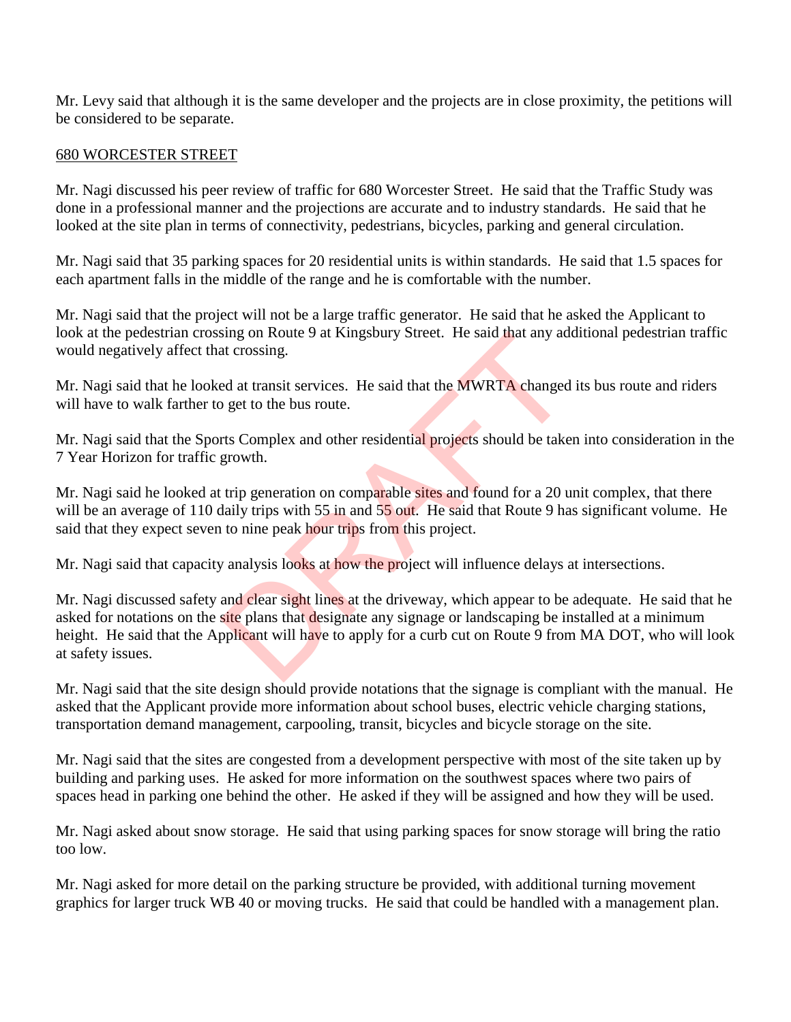Mr. Levy said that although it is the same developer and the projects are in close proximity, the petitions will be considered to be separate.

#### 680 WORCESTER STREET

Mr. Nagi discussed his peer review of traffic for 680 Worcester Street. He said that the Traffic Study was done in a professional manner and the projections are accurate and to industry standards. He said that he looked at the site plan in terms of connectivity, pedestrians, bicycles, parking and general circulation.

Mr. Nagi said that 35 parking spaces for 20 residential units is within standards. He said that 1.5 spaces for each apartment falls in the middle of the range and he is comfortable with the number.

Mr. Nagi said that the project will not be a large traffic generator. He said that he asked the Applicant to look at the pedestrian crossing on Route 9 at Kingsbury Street. He said that any additional pedestrian traffic would negatively affect that crossing.

Mr. Nagi said that he looked at transit services. He said that the MWRTA changed its bus route and riders will have to walk farther to get to the bus route.

Mr. Nagi said that the Sports Complex and other residential projects should be taken into consideration in the 7 Year Horizon for traffic growth.

Mr. Nagi said he looked at trip generation on comparable sites and found for a 20 unit complex, that there will be an average of 110 daily trips with 55 in and 55 out. He said that Route 9 has significant volume. He said that they expect seven to nine peak hour trips from this project.

Mr. Nagi said that capacity analysis looks at how the project will influence delays at intersections.

Mr. Nagi discussed safety and clear sight lines at the driveway, which appear to be adequate. He said that he asked for notations on the site plans that designate any signage or landscaping be installed at a minimum height. He said that the Applicant will have to apply for a curb cut on Route 9 from MA DOT, who will look at safety issues. sing on Route 9 at Kingsbury Street. He said that any added at transit services. He said that the MWRTA changed get to the bus route.<br>The said that the MWRTA changed get to the bus route.<br>The scale of the bus route.<br>The sc

Mr. Nagi said that the site design should provide notations that the signage is compliant with the manual. He asked that the Applicant provide more information about school buses, electric vehicle charging stations, transportation demand management, carpooling, transit, bicycles and bicycle storage on the site.

Mr. Nagi said that the sites are congested from a development perspective with most of the site taken up by building and parking uses. He asked for more information on the southwest spaces where two pairs of spaces head in parking one behind the other. He asked if they will be assigned and how they will be used.

Mr. Nagi asked about snow storage. He said that using parking spaces for snow storage will bring the ratio too low.

Mr. Nagi asked for more detail on the parking structure be provided, with additional turning movement graphics for larger truck WB 40 or moving trucks. He said that could be handled with a management plan.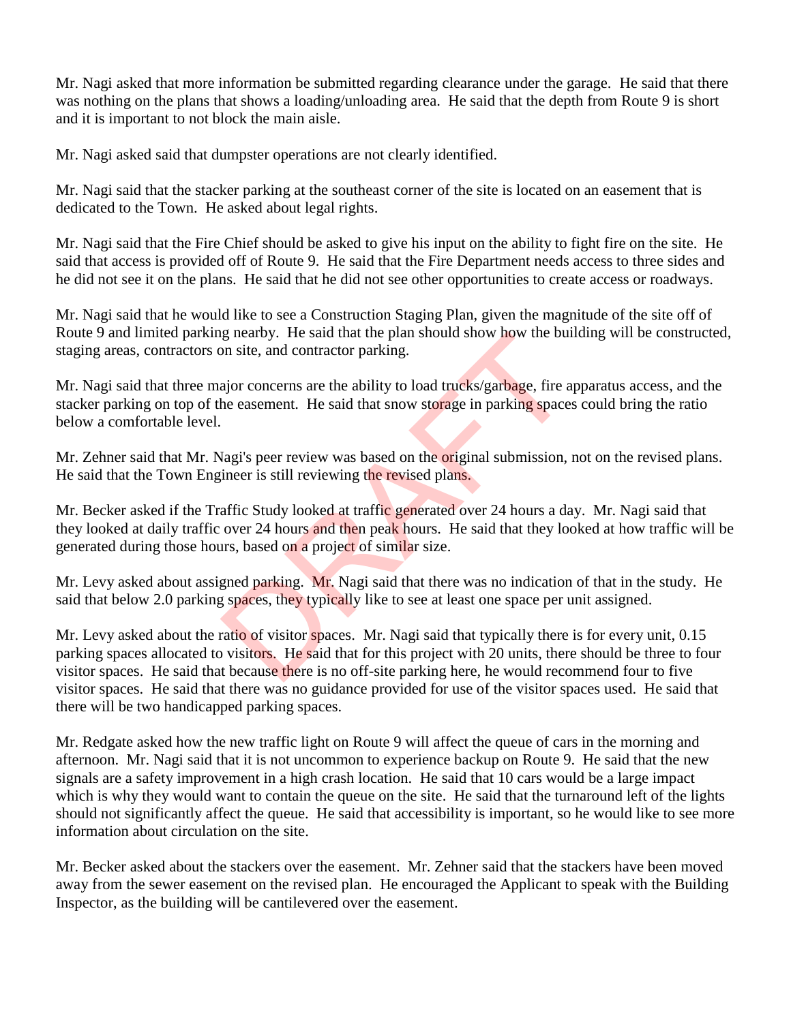Mr. Nagi asked that more information be submitted regarding clearance under the garage. He said that there was nothing on the plans that shows a loading/unloading area. He said that the depth from Route 9 is short and it is important to not block the main aisle.

Mr. Nagi asked said that dumpster operations are not clearly identified.

Mr. Nagi said that the stacker parking at the southeast corner of the site is located on an easement that is dedicated to the Town. He asked about legal rights.

Mr. Nagi said that the Fire Chief should be asked to give his input on the ability to fight fire on the site. He said that access is provided off of Route 9. He said that the Fire Department needs access to three sides and he did not see it on the plans. He said that he did not see other opportunities to create access or roadways.

Mr. Nagi said that he would like to see a Construction Staging Plan, given the magnitude of the site off of Route 9 and limited parking nearby. He said that the plan should show how the building will be constructed, staging areas, contractors on site, and contractor parking.

Mr. Nagi said that three major concerns are the ability to load trucks/garbage, fire apparatus access, and the stacker parking on top of the easement. He said that snow storage in parking spaces could bring the ratio below a comfortable level.

Mr. Zehner said that Mr. Nagi's peer review was based on the original submission, not on the revised plans. He said that the Town Engineer is still reviewing the revised plans.

Mr. Becker asked if the Traffic Study looked at traffic generated over 24 hours a day. Mr. Nagi said that they looked at daily traffic over 24 hours and then peak hours. He said that they looked at how traffic will be generated during those hours, based on a project of similar size.

Mr. Levy asked about assigned parking. Mr. Nagi said that there was no indication of that in the study. He said that below 2.0 parking spaces, they typically like to see at least one space per unit assigned.

Mr. Levy asked about the ratio of visitor spaces. Mr. Nagi said that typically there is for every unit, 0.15 parking spaces allocated to visitors. He said that for this project with 20 units, there should be three to four visitor spaces. He said that because there is no off-site parking here, he would recommend four to five visitor spaces. He said that there was no guidance provided for use of the visitor spaces used. He said that there will be two handicapped parking spaces. g nearby. He said that the plan should show how the bun<br>the aid contractor parking.<br>ajor concerns are the ability to load trucks/garbage, fire a<br>he easement. He said that show storage in parking space<br>lagi's peer review wa

Mr. Redgate asked how the new traffic light on Route 9 will affect the queue of cars in the morning and afternoon. Mr. Nagi said that it is not uncommon to experience backup on Route 9. He said that the new signals are a safety improvement in a high crash location. He said that 10 cars would be a large impact which is why they would want to contain the queue on the site. He said that the turnaround left of the lights should not significantly affect the queue. He said that accessibility is important, so he would like to see more information about circulation on the site.

Mr. Becker asked about the stackers over the easement. Mr. Zehner said that the stackers have been moved away from the sewer easement on the revised plan. He encouraged the Applicant to speak with the Building Inspector, as the building will be cantilevered over the easement.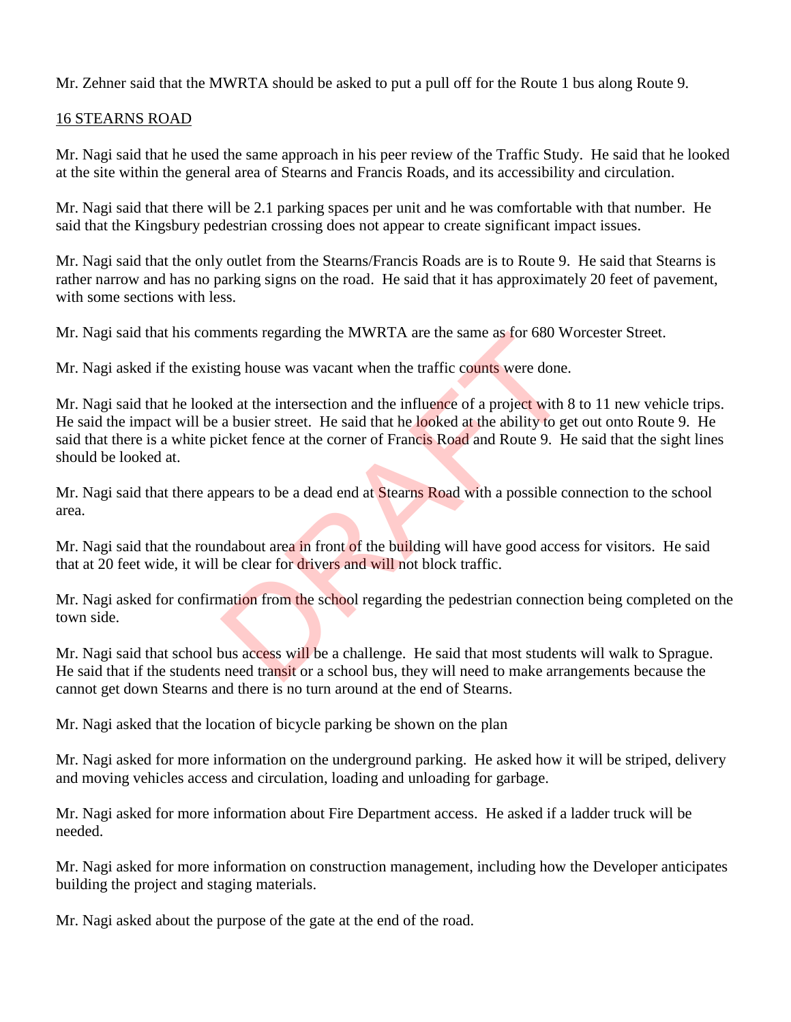Mr. Zehner said that the MWRTA should be asked to put a pull off for the Route 1 bus along Route 9.

### 16 STEARNS ROAD

Mr. Nagi said that he used the same approach in his peer review of the Traffic Study. He said that he looked at the site within the general area of Stearns and Francis Roads, and its accessibility and circulation.

Mr. Nagi said that there will be 2.1 parking spaces per unit and he was comfortable with that number. He said that the Kingsbury pedestrian crossing does not appear to create significant impact issues.

Mr. Nagi said that the only outlet from the Stearns/Francis Roads are is to Route 9. He said that Stearns is rather narrow and has no parking signs on the road. He said that it has approximately 20 feet of pavement, with some sections with less.

Mr. Nagi said that his comments regarding the MWRTA are the same as for 680 Worcester Street.

Mr. Nagi asked if the existing house was vacant when the traffic counts were done.

Mr. Nagi said that he looked at the intersection and the influence of a project with 8 to 11 new vehicle trips. He said the impact will be a busier street. He said that he looked at the ability to get out onto Route 9. He said that there is a white picket fence at the corner of Francis Road and Route 9. He said that the sight lines should be looked at. ments regarding the MWKTA are the same as for 680 W<br>ing house was vacant when the traffic counts were done.<br>ed at the intersection and the influence of a project with  $\delta$ <br>a busier street. He said that he looked at the abi

Mr. Nagi said that there appears to be a dead end at Stearns Road with a possible connection to the school area.

Mr. Nagi said that the roundabout area in front of the building will have good access for visitors. He said that at 20 feet wide, it will be clear for drivers and will not block traffic.

Mr. Nagi asked for confirmation from the school regarding the pedestrian connection being completed on the town side.

Mr. Nagi said that school bus access will be a challenge. He said that most students will walk to Sprague. He said that if the students need transit or a school bus, they will need to make arrangements because the cannot get down Stearns and there is no turn around at the end of Stearns.

Mr. Nagi asked that the location of bicycle parking be shown on the plan

Mr. Nagi asked for more information on the underground parking. He asked how it will be striped, delivery and moving vehicles access and circulation, loading and unloading for garbage.

Mr. Nagi asked for more information about Fire Department access. He asked if a ladder truck will be needed.

Mr. Nagi asked for more information on construction management, including how the Developer anticipates building the project and staging materials.

Mr. Nagi asked about the purpose of the gate at the end of the road.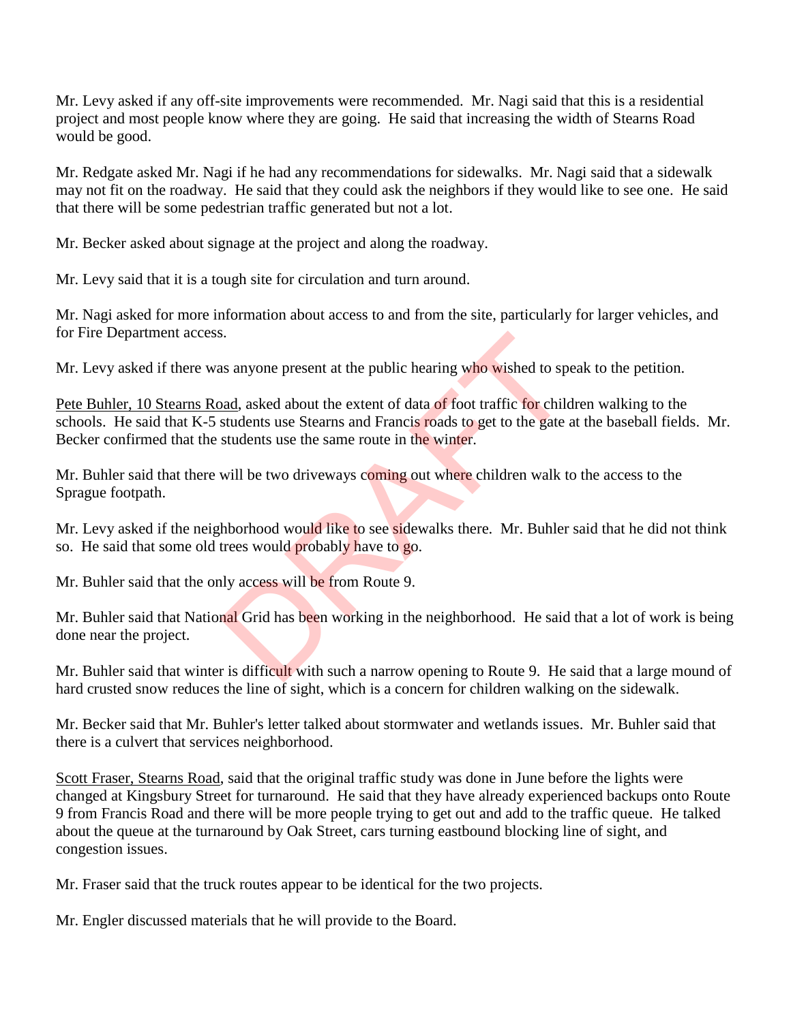Mr. Levy asked if any off-site improvements were recommended. Mr. Nagi said that this is a residential project and most people know where they are going. He said that increasing the width of Stearns Road would be good.

Mr. Redgate asked Mr. Nagi if he had any recommendations for sidewalks. Mr. Nagi said that a sidewalk may not fit on the roadway. He said that they could ask the neighbors if they would like to see one. He said that there will be some pedestrian traffic generated but not a lot.

Mr. Becker asked about signage at the project and along the roadway.

Mr. Levy said that it is a tough site for circulation and turn around.

Mr. Nagi asked for more information about access to and from the site, particularly for larger vehicles, and for Fire Department access.

Mr. Levy asked if there was anyone present at the public hearing who wished to speak to the petition.

Pete Buhler, 10 Stearns Road, asked about the extent of data of foot traffic for children walking to the schools. He said that K-5 students use Stearns and Francis roads to get to the gate at the baseball fields. Mr. Becker confirmed that the students use the same route in the winter. DRAFT

Mr. Buhler said that there will be two driveways coming out where children walk to the access to the Sprague footpath.

Mr. Levy asked if the neighborhood would like to see sidewalks there. Mr. Buhler said that he did not think so. He said that some old trees would probably have to go.

Mr. Buhler said that the only access will be from Route 9.

Mr. Buhler said that National Grid has been working in the neighborhood. He said that a lot of work is being done near the project.

Mr. Buhler said that winter is difficult with such a narrow opening to Route 9. He said that a large mound of hard crusted snow reduces the line of sight, which is a concern for children walking on the sidewalk.

Mr. Becker said that Mr. Buhler's letter talked about stormwater and wetlands issues. Mr. Buhler said that there is a culvert that services neighborhood.

Scott Fraser, Stearns Road, said that the original traffic study was done in June before the lights were changed at Kingsbury Street for turnaround. He said that they have already experienced backups onto Route 9 from Francis Road and there will be more people trying to get out and add to the traffic queue. He talked about the queue at the turnaround by Oak Street, cars turning eastbound blocking line of sight, and congestion issues.

Mr. Fraser said that the truck routes appear to be identical for the two projects.

Mr. Engler discussed materials that he will provide to the Board.